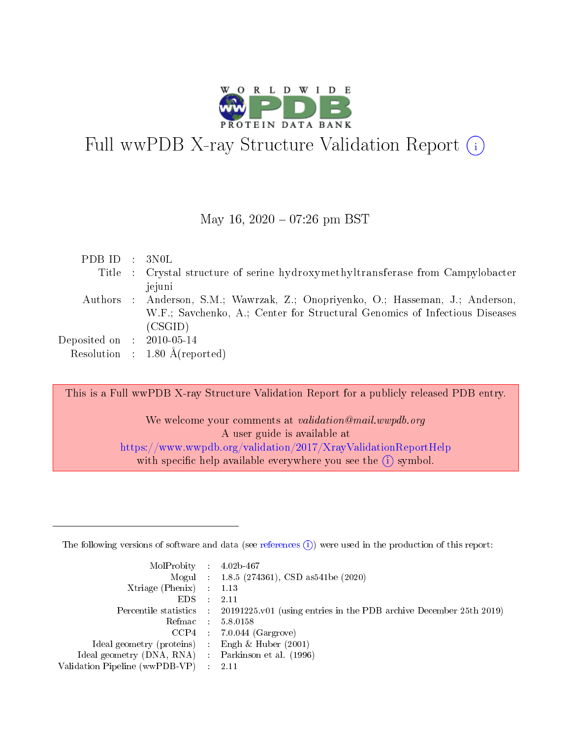

# Full wwPDB X-ray Structure Validation Report (i)

May 16,  $2020 - 07:26$  pm BST

| Title : Crystal structure of serine hydroxymethyltransferase from Campylobacter |
|---------------------------------------------------------------------------------|
|                                                                                 |
| Authors : Anderson, S.M.; Wawrzak, Z.; Onopriyenko, O.; Hasseman, J.; Anderson, |
| W.F.; Savchenko, A.; Center for Structural Genomics of Infectious Diseases      |
|                                                                                 |
|                                                                                 |
|                                                                                 |
|                                                                                 |

This is a Full wwPDB X-ray Structure Validation Report for a publicly released PDB entry.

We welcome your comments at *validation@mail.wwpdb.org* A user guide is available at <https://www.wwpdb.org/validation/2017/XrayValidationReportHelp> with specific help available everywhere you see the  $(i)$  symbol.

The following versions of software and data (see [references](https://www.wwpdb.org/validation/2017/XrayValidationReportHelp#references)  $(1)$ ) were used in the production of this report:

| $MolProbability$ : 4.02b-467                        |               |                                                                                            |
|-----------------------------------------------------|---------------|--------------------------------------------------------------------------------------------|
|                                                     |               | Mogul : $1.8.5$ (274361), CSD as 541be (2020)                                              |
| Xtriage (Phenix) $: 1.13$                           |               |                                                                                            |
| EDS.                                                | $\mathcal{L}$ | 2.11                                                                                       |
|                                                     |               | Percentile statistics : 20191225.v01 (using entries in the PDB archive December 25th 2019) |
| Refmac 5.8.0158                                     |               |                                                                                            |
|                                                     |               | $CCP4$ : 7.0.044 (Gargrove)                                                                |
| Ideal geometry (proteins)                           |               | Engh $\&$ Huber (2001)                                                                     |
| Ideal geometry (DNA, RNA) : Parkinson et al. (1996) |               |                                                                                            |
| Validation Pipeline (wwPDB-VP) : 2.11               |               |                                                                                            |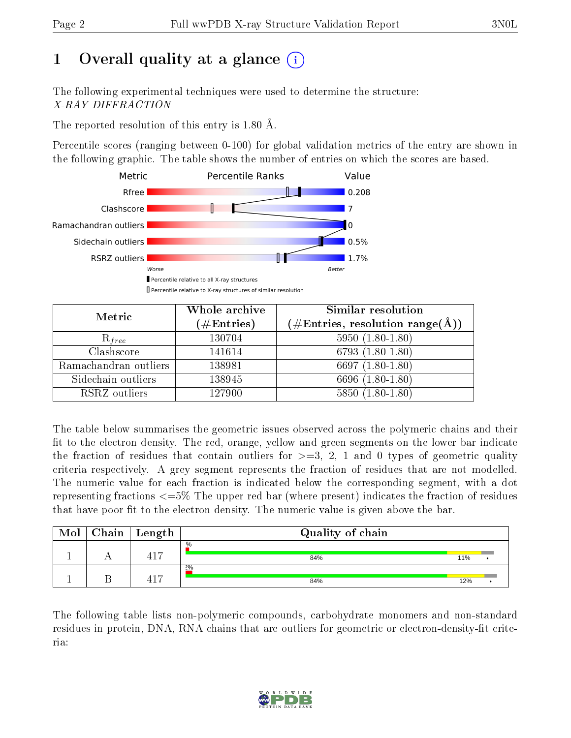## 1 [O](https://www.wwpdb.org/validation/2017/XrayValidationReportHelp#overall_quality)verall quality at a glance  $(i)$

The following experimental techniques were used to determine the structure: X-RAY DIFFRACTION

The reported resolution of this entry is 1.80 Å.

Percentile scores (ranging between 0-100) for global validation metrics of the entry are shown in the following graphic. The table shows the number of entries on which the scores are based.



| Metric                | Whole archive<br>$(\#\mathrm{Entries})$ | Similar resolution<br>$(\#\text{Entries}, \text{resolution range}(\textup{\AA}))$ |
|-----------------------|-----------------------------------------|-----------------------------------------------------------------------------------|
| $R_{free}$            | 130704                                  | $5950(1.80-1.80)$                                                                 |
| Clashscore            | 141614                                  | 6793 $(1.80-1.80)$                                                                |
| Ramachandran outliers | 138981                                  | 6697 $(1.80-1.80)$                                                                |
| Sidechain outliers    | 138945                                  | 6696 (1.80-1.80)                                                                  |
| RSRZ outliers         | 127900                                  | $5850(1.80-1.80)$                                                                 |

The table below summarises the geometric issues observed across the polymeric chains and their fit to the electron density. The red, orange, yellow and green segments on the lower bar indicate the fraction of residues that contain outliers for  $>=3, 2, 1$  and 0 types of geometric quality criteria respectively. A grey segment represents the fraction of residues that are not modelled. The numeric value for each fraction is indicated below the corresponding segment, with a dot representing fractions <=5% The upper red bar (where present) indicates the fraction of residues that have poor fit to the electron density. The numeric value is given above the bar.

| Mol | $Chain$ $Length$ | Quality of chain |     |  |
|-----|------------------|------------------|-----|--|
|     | 417              | $\%$<br>84%      | 11% |  |
|     | 417              | 2%<br>84%        | 12% |  |

The following table lists non-polymeric compounds, carbohydrate monomers and non-standard residues in protein, DNA, RNA chains that are outliers for geometric or electron-density-fit criteria:

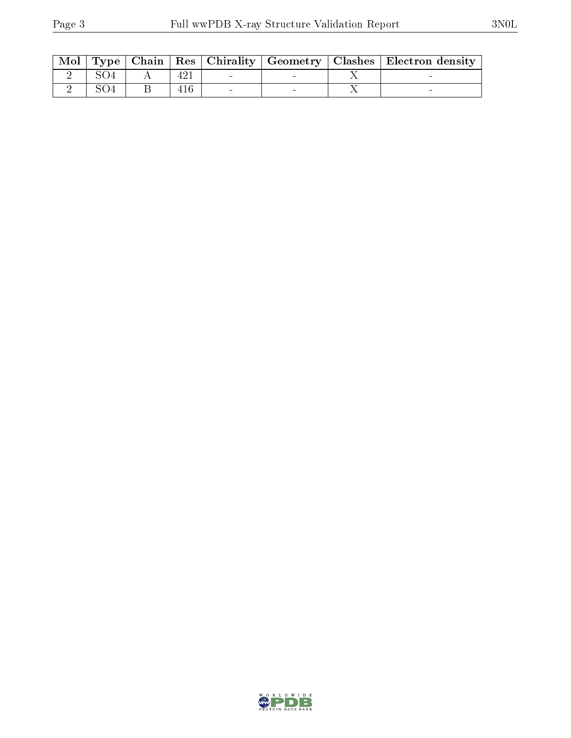| $\mid$ Mol $\mid$ |  |  |  | Type   Chain   Res   Chirality   Geometry   Clashes   Electron density |
|-------------------|--|--|--|------------------------------------------------------------------------|
|                   |  |  |  |                                                                        |
|                   |  |  |  |                                                                        |

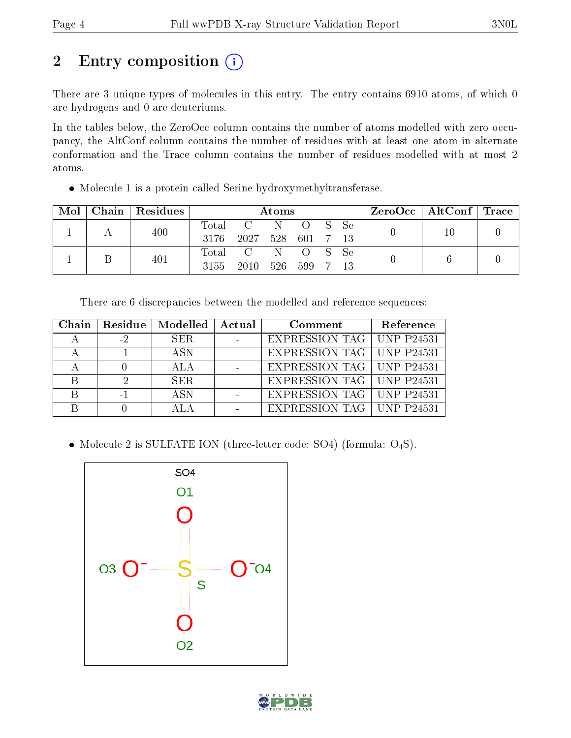## 2 Entry composition (i)

There are 3 unique types of molecules in this entry. The entry contains 6910 atoms, of which 0 are hydrogens and 0 are deuteriums.

In the tables below, the ZeroOcc column contains the number of atoms modelled with zero occupancy, the AltConf column contains the number of residues with at least one atom in alternate conformation and the Trace column contains the number of residues modelled with at most 2 atoms.

Molecule 1 is a protein called Serine hydroxymethyltransferase.

| Mol |  | Chain   Residues | Atoms |                |     |                  |               | $\text{ZeroOcc}$   AltConf   Trace |  |  |
|-----|--|------------------|-------|----------------|-----|------------------|---------------|------------------------------------|--|--|
|     |  | 400              | Total | $\overline{C}$ | N   | $\left( \right)$ | $\mathcal{S}$ | – Se                               |  |  |
|     |  |                  | -3176 | 2027           |     | 528 601 7        |               | -13                                |  |  |
|     |  | 401              | Total | $\overline{C}$ | - N | - 0              | $\angle$ S    | Se                                 |  |  |
|     |  |                  | 3155  | 2010           | 526 | 599              |               |                                    |  |  |

There are 6 discrepancies between the modelled and reference sequences:

|      | Chain   Residue   Modelled   Actual | Comment                            | Reference |
|------|-------------------------------------|------------------------------------|-----------|
| $-2$ | SER.                                | <b>EXPRESSION TAG   UNP P24531</b> |           |
| $-1$ | A SN                                | EXPRESSION TAG   UNP P24531        |           |
|      | ALA                                 | EXPRESSION TAG   UNP P24531        |           |
| $-2$ | SER.                                | EXPRESSION TAG   UNP P24531        |           |
|      | A SN                                | EXPRESSION TAG   UNP P24531        |           |
|      |                                     | <b>EXPRESSION TAG   UNP P24531</b> |           |

• Molecule 2 is SULFATE ION (three-letter code: SO4) (formula:  $O_4S$ ).



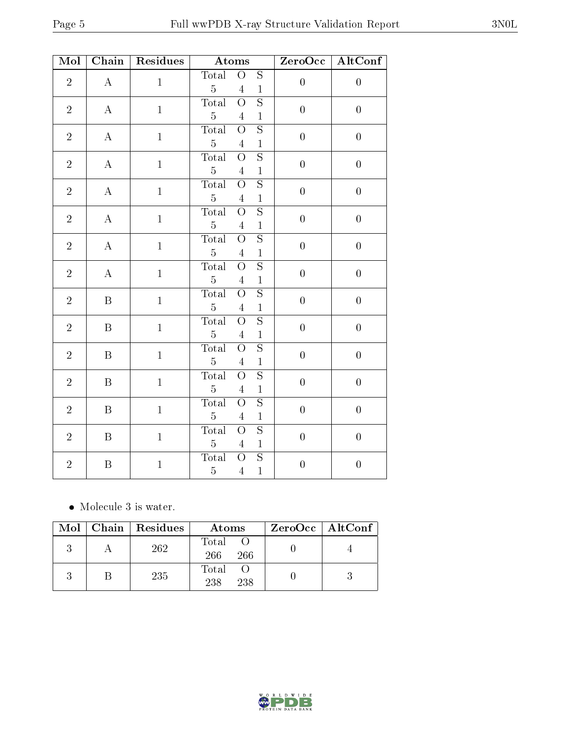| Mol            | Chain            | Residues     | Atoms          |                         | ZeroOcc                 | AltConf          |                  |  |  |
|----------------|------------------|--------------|----------------|-------------------------|-------------------------|------------------|------------------|--|--|
| $\overline{2}$ | $\bf{A}$         | $\mathbf{1}$ | Total          | $\overline{O}$          | $\overline{S}$          | $\overline{0}$   | $\overline{0}$   |  |  |
|                |                  |              | $\overline{5}$ | $\overline{4}$          | $\mathbf{1}$            |                  |                  |  |  |
| $\overline{2}$ | $\bf{A}$         | $\mathbf{1}$ | Total          | $\overline{O}$          | $\mathbf S$             | $\overline{0}$   | $\overline{0}$   |  |  |
|                |                  |              |                |                         | $\overline{5}$          | $\sqrt{4}$       | $\mathbf 1$      |  |  |
| $\sqrt{2}$     | $\bf{A}$         | $\mathbf 1$  | <b>Total</b>   | $\overline{O}$          | $\overline{S}$          | $\boldsymbol{0}$ | $\boldsymbol{0}$ |  |  |
|                |                  |              | $\overline{5}$ | $\overline{4}$          | $\mathbf{1}$            |                  |                  |  |  |
| $\overline{2}$ | $\bf{A}$         | $\mathbf{1}$ | <b>Total</b>   | $\overline{O}$          | $\overline{\mathrm{s}}$ | $\overline{0}$   | $\overline{0}$   |  |  |
|                |                  |              | $\overline{5}$ | $\overline{4}$          | $\mathbf{1}$            |                  |                  |  |  |
| $\sqrt{2}$     | $\bf{A}$         | $\mathbf 1$  | Total          | $\overline{O}$          | $\overline{\mathrm{s}}$ | $\boldsymbol{0}$ | $\boldsymbol{0}$ |  |  |
|                |                  |              | $5\,$          | $\overline{4}$          | $\mathbf{1}$            |                  |                  |  |  |
| $\sqrt{2}$     | $\bf{A}$         | $\mathbf{1}$ | Total          | $\overline{O}$          | $\overline{S}$          | $\boldsymbol{0}$ | $\boldsymbol{0}$ |  |  |
|                |                  |              | $\overline{5}$ | $\overline{4}$          | $\mathbf{1}$            |                  |                  |  |  |
| $\sqrt{2}$     | $\bf{A}$         | $\mathbf{1}$ | <b>Total</b>   | $\overline{O}$          | $\overline{S}$          | $\overline{0}$   | $\overline{0}$   |  |  |
|                |                  |              | $\bf 5$        | $\overline{4}$          | $\mathbf 1$             |                  |                  |  |  |
| $\sqrt{2}$     | $\bf{A}$         | $\mathbf{1}$ | <b>Total</b>   | $\overline{O}$          | $\overline{S}$          | $\overline{0}$   | $\boldsymbol{0}$ |  |  |
|                |                  |              | $\overline{5}$ | $\overline{4}$          | $\mathbf{1}$            |                  |                  |  |  |
| $\overline{2}$ | $\mathbf{B}$     | $\mathbf{1}$ | <b>Total</b>   | $\overline{O}$          | $\overline{\mathrm{s}}$ | $\overline{0}$   | $\overline{0}$   |  |  |
|                |                  |              | $\overline{5}$ | $\overline{4}$          | $\,1$                   |                  |                  |  |  |
| $\sqrt{2}$     | $\, {\bf B}$     | $\,1$        | Total          | $\overline{\mathrm{O}}$ | $\overline{S}$          | $\boldsymbol{0}$ | $\boldsymbol{0}$ |  |  |
|                |                  |              | $\overline{5}$ | $\overline{4}$          | $1\,$                   |                  |                  |  |  |
| $\overline{2}$ | $\mathbf{B}$     | $\mathbf{1}$ | <b>Total</b>   | $\overline{O}$          | $\overline{S}$          | $\overline{0}$   | $\overline{0}$   |  |  |
|                |                  |              | $\overline{5}$ | $\overline{4}$          | $\mathbf 1$             |                  |                  |  |  |
| $\overline{2}$ | $\, {\bf B}$     | $\mathbf{1}$ | Total          | $\overline{O}$          | $\overline{S}$          | $\overline{0}$   | $\overline{0}$   |  |  |
|                |                  |              | $\overline{5}$ | $\overline{4}$          | $\,1$                   |                  |                  |  |  |
| $\overline{2}$ | $\boldsymbol{B}$ | $\,1$        | <b>Total</b>   | $\overline{O}$          | $\overline{\mathrm{s}}$ | $\boldsymbol{0}$ | $\boldsymbol{0}$ |  |  |
|                |                  |              | $\overline{5}$ | $\overline{4}$          | $\mathbf 1$             |                  |                  |  |  |
| $\sqrt{2}$     | $\, {\bf B}$     | $\mathbf{1}$ | <b>Total</b>   | $\overline{O}$          | $\overline{S}$          | $\overline{0}$   | $\overline{0}$   |  |  |
|                |                  |              | $\overline{5}$ | $\overline{4}$          | $\mathbf{1}$            |                  |                  |  |  |
| $\sqrt{2}$     | $\, {\bf B}$     |              | <b>Total</b>   | $\overline{O}$          | $\overline{S}$          | $\boldsymbol{0}$ | $\boldsymbol{0}$ |  |  |
|                |                  | $\,1$        | $\overline{5}$ | $\overline{4}$          | $\mathbf{1}$            |                  |                  |  |  |

• Molecule 3 is water.

|  | Mol   Chain   Residues | Atoms               | $ZeroOcc \mid AltConf \mid$ |
|--|------------------------|---------------------|-----------------------------|
|  | 262                    | Total<br>266<br>266 |                             |
|  | 235                    | Total<br>238<br>238 |                             |



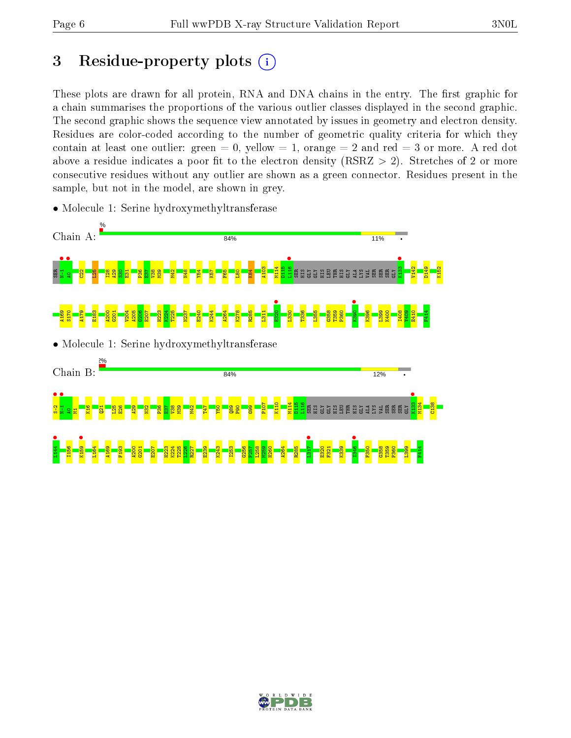## 3 Residue-property plots  $(i)$

These plots are drawn for all protein, RNA and DNA chains in the entry. The first graphic for a chain summarises the proportions of the various outlier classes displayed in the second graphic. The second graphic shows the sequence view annotated by issues in geometry and electron density. Residues are color-coded according to the number of geometric quality criteria for which they contain at least one outlier: green  $= 0$ , yellow  $= 1$ , orange  $= 2$  and red  $= 3$  or more. A red dot above a residue indicates a poor fit to the electron density (RSRZ  $> 2$ ). Stretches of 2 or more consecutive residues without any outlier are shown as a green connector. Residues present in the sample, but not in the model, are shown in grey.



• Molecule 1: Serine hydroxymethyltransferase

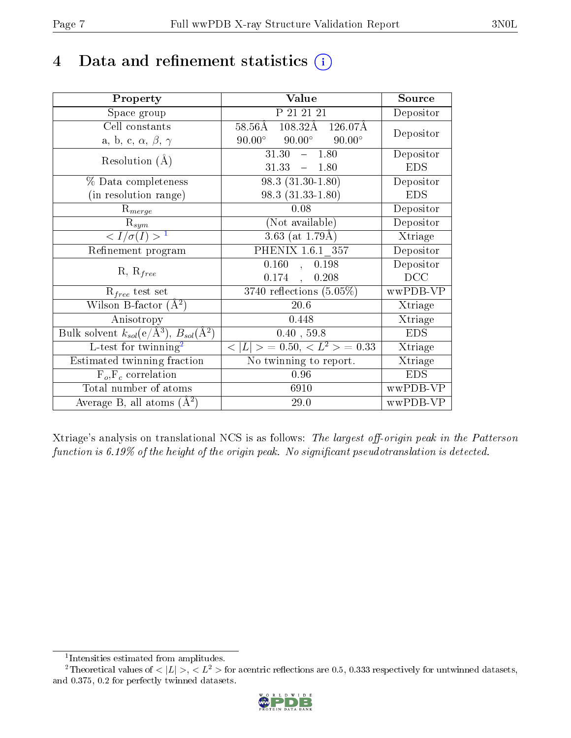## 4 Data and refinement statistics  $(i)$

| Property                                                                | Value                                                      | Source     |
|-------------------------------------------------------------------------|------------------------------------------------------------|------------|
| Space group                                                             | P 21 21 21                                                 | Depositor  |
| Cell constants                                                          | $108.32\text{\AA}$ $126.07\text{\AA}$<br>$58.56\text{\AA}$ |            |
| a, b, c, $\alpha$ , $\beta$ , $\gamma$                                  | $90.00^\circ$<br>$90.00^\circ$<br>$90.00^{\circ}$          | Depositor  |
| Resolution $(A)$                                                        | 31.30<br>$-1.80$                                           | Depositor  |
|                                                                         | 31.33<br>$-1.80$                                           | <b>EDS</b> |
| % Data completeness                                                     | $98.3(31.30-1.80)$                                         | Depositor  |
| (in resolution range)                                                   | 98.3 (31.33-1.80)                                          | <b>EDS</b> |
| $R_{merge}$                                                             | 0.08                                                       | Depositor  |
| $\mathrm{R}_{sym}$                                                      | (Not available)                                            | Depositor  |
| $\langle I/\sigma(I) \rangle^{-1}$                                      | $3.63$ (at 1.79Å)                                          | Xtriage    |
| Refinement program                                                      | PHENIX 1.6.1 357                                           | Depositor  |
|                                                                         | 0.160<br>0.198<br>$\mathcal{L}_{\mathcal{A}}$              | Depositor  |
| $R, R_{free}$                                                           | 0.174,<br>0.208                                            | DCC        |
| $\mathcal{R}_{free}$ test set                                           | $3740$ reflections $(5.05\%)$                              | wwPDB-VP   |
| Wilson B-factor $(A^2)$                                                 | 20.6                                                       | Xtriage    |
| Anisotropy                                                              | 0.448                                                      | Xtriage    |
| Bulk solvent $k_{sol}(\mathrm{e}/\mathrm{A}^3),\,B_{sol}(\mathrm{A}^2)$ | 0.40, 59.8                                                 | <b>EDS</b> |
| L-test for twinning <sup>2</sup>                                        | $< L >$ = 0.50, $< L^2 >$ = 0.33                           | Xtriage    |
| Estimated twinning fraction                                             | No twinning to report.                                     | Xtriage    |
| $F_o, F_c$ correlation                                                  | 0.96                                                       | <b>EDS</b> |
| Total number of atoms                                                   | 6910                                                       | wwPDB-VP   |
| Average B, all atoms $(A^2)$                                            | 29.0                                                       | wwPDB-VP   |

Xtriage's analysis on translational NCS is as follows: The largest off-origin peak in the Patterson function is  $6.19\%$  of the height of the origin peak. No significant pseudotranslation is detected.

<sup>&</sup>lt;sup>2</sup>Theoretical values of  $\langle |L| \rangle$ ,  $\langle L^2 \rangle$  for acentric reflections are 0.5, 0.333 respectively for untwinned datasets, and 0.375, 0.2 for perfectly twinned datasets.



<span id="page-6-1"></span><span id="page-6-0"></span><sup>1</sup> Intensities estimated from amplitudes.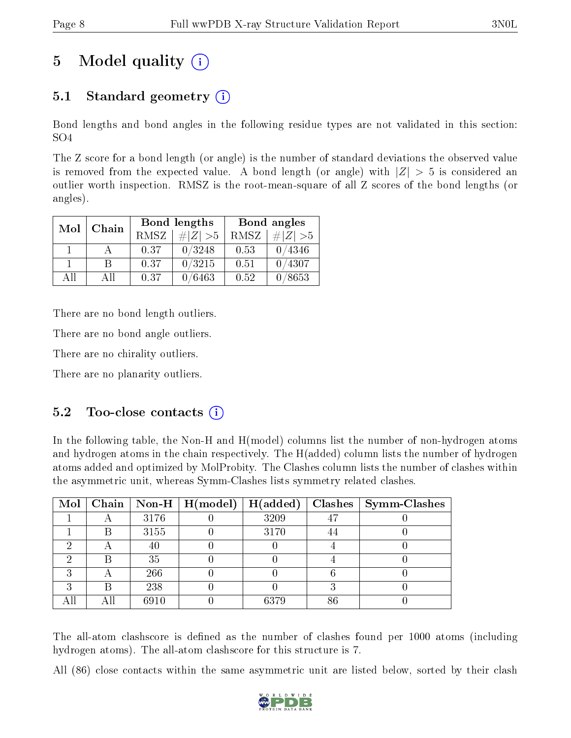## 5 Model quality  $(i)$

## 5.1 Standard geometry (i)

Bond lengths and bond angles in the following residue types are not validated in this section: SO4

The Z score for a bond length (or angle) is the number of standard deviations the observed value is removed from the expected value. A bond length (or angle) with  $|Z| > 5$  is considered an outlier worth inspection. RMSZ is the root-mean-square of all Z scores of the bond lengths (or angles).

| Mol          | Chain |      | <b>Bond lengths</b> | Bond angles |             |  |
|--------------|-------|------|---------------------|-------------|-------------|--|
|              |       |      | $\# Z  > 5$         | RMSZ        | # $ Z  > 5$ |  |
| $\mathbf{1}$ |       | 0.37 | 0/3248              | 0.53        | 0/4346      |  |
|              | R     | 0.37 | 0/3215              | 0.51        | 0/4307      |  |
| AH           | Аll   | 0.37 | 0/6463              | 0.52        | 0/8653      |  |

There are no bond length outliers.

There are no bond angle outliers.

There are no chirality outliers.

There are no planarity outliers.

### $5.2$  Too-close contacts  $(i)$

In the following table, the Non-H and H(model) columns list the number of non-hydrogen atoms and hydrogen atoms in the chain respectively. The H(added) column lists the number of hydrogen atoms added and optimized by MolProbity. The Clashes column lists the number of clashes within the asymmetric unit, whereas Symm-Clashes lists symmetry related clashes.

|   |     |      | $\boxed{\text{Mol} \mid \text{Chain} \mid \text{Non-H} \mid \text{H(model)} \mid \text{H(added)}}$ |      |    | $Clashes$   Symm-Clashes |
|---|-----|------|----------------------------------------------------------------------------------------------------|------|----|--------------------------|
|   |     | 3176 |                                                                                                    | 3209 | 47 |                          |
|   | B   | 3155 |                                                                                                    | 3170 |    |                          |
| ച |     | 40   |                                                                                                    |      |    |                          |
|   | Β   | 35   |                                                                                                    |      |    |                          |
| ച |     | 266  |                                                                                                    |      |    |                          |
| ົ | Β   | 238  |                                                                                                    |      |    |                          |
|   | Αll | 6910 |                                                                                                    | 6379 | 86 |                          |

The all-atom clashscore is defined as the number of clashes found per 1000 atoms (including hydrogen atoms). The all-atom clashscore for this structure is 7.

All (86) close contacts within the same asymmetric unit are listed below, sorted by their clash

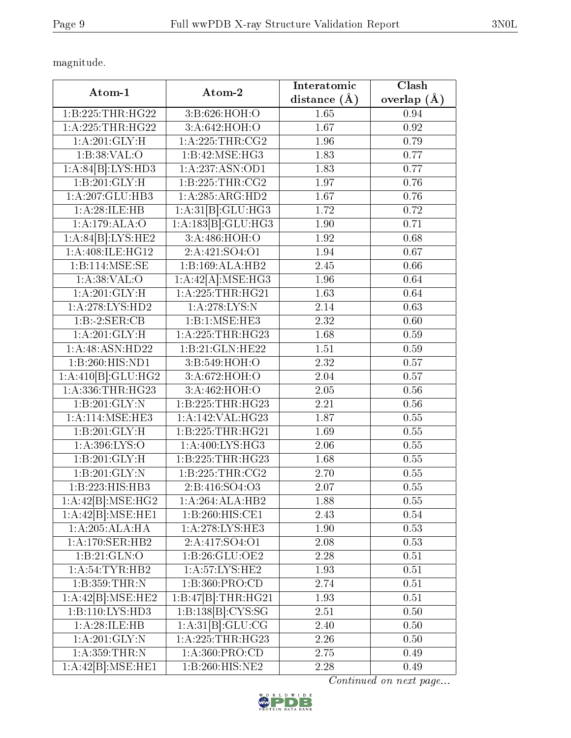magnitude.

| Atom-1               | Atom-2               | Interatomic       | Clash         |
|----------------------|----------------------|-------------------|---------------|
|                      |                      | distance $(\AA)$  | overlap $(A)$ |
| 1:B:225:THR:HG22     | 3:B:626:HOH:O        | 1.65              | 0.94          |
| 1: A: 225: THR: HG22 | 3:A:642:HOH:O        | 1.67              | 0.92          |
| 1: A:201: GLY: H     | 1: A:225:THR:CG2     | 1.96              | 0.79          |
| 1:B:38:VAL:O         | 1:B:42:MSE:HG3       | 1.83              | 0.77          |
| 1:A:84[B]:LYS:HD3    | 1:A:237:ASN:OD1      | 1.83              | 0.77          |
| 1:B:201:GLY:H        | 1:B:225:THR:CG2      | 1.97              | 0.76          |
| 1:A:207:GLU:HB3      | 1:A:285:ARG:HD2      | 1.67              | 0.76          |
| 1:A:28:ILE:HB        | 1:A:31[B]:GLU:HG3    | 1.72              | 0.72          |
| 1:A:179:ALA:O        | 1:A:183[B]:GLU:HG3   | 1.90              | 0.71          |
| 1:A:84[B]:LYS:HE2    | 3:A:486:HOH:O        | 1.92              | 0.68          |
| 1: A:408: ILE: HG12  | 2:A:421:SO4:O1       | 1.94              | 0.67          |
| 1:B:114:MSE:SE       | 1:B:169:ALA:HB2      | 2.45              | 0.66          |
| 1: A:38: VAL:O       | 1:A:42[A]:MSE:HG3    | 1.96              | 0.64          |
| 1: A:201: GLY:H      | 1: A: 225: THR: HG21 | 1.63              | 0.64          |
| 1: A:278:LYS:HD2     | 1: A:278:LYS:N       | 2.14              | 0.63          |
| 1:B:2:SER:CB         | 1:B:1:MSE:HE3        | 2.32              | 0.60          |
| 1:A:201:GLY:H        | 1: A:225:THR:HG23    | 1.68              | 0.59          |
| 1:A:48:ASN:HD22      | 1:B:21:GLN:HE22      | 1.51              | 0.59          |
| 1:B:260:HIS:ND1      | 3:B:549:HOH:O        | 2.32              | 0.57          |
| 1:A:410[B]:GLU:HG2   | 3:A:672:HOH:O        | 2.04              | 0.57          |
| 1:A:336:THR:HG23     | 3: A:462: HOH:O      | 2.05              | 0.56          |
| 1:B:201:GLY:N        | 1:B:225:THR:HG23     | $\overline{2.21}$ | 0.56          |
| 1: A:114: MSE:HE3    | 1:A:142:VAL:HG23     | 1.87              | 0.55          |
| 1:B:201:GLY:H        | 1:B:225:THR:HG21     | 1.69              | 0.55          |
| 1: A:396: LYS:O      | 1: A:400: LYS: HG3   | 2.06              | 0.55          |
| 1:B:201:GLY:H        | 1:B:225:THR:HG23     | 1.68              | 0.55          |
| 1:B:201:GLY:N        | 1: B: 225: THR: CG2  | 2.70              | 0.55          |
| 1:B:223:HIS:HB3      | 2:B:416:SO4:O3       | 2.07              | 0.55          |
| 1:A:42[B]:MSE:HG2    | 1:A:264:ALA:HB2      | 1.88              | 0.55          |
| 1:A:42[B]:MSE:HE1    | 1:B:260:HIS:CE1      | 2.43              | 0.54          |
| 1:A:205:ALA:HA       | 1:A:278:LYS:HE3      | 1.90              | 0.53          |
| 1:A:170:SER:HB2      | 2: A: 417: SO 4: O 1 | 2.08              | 0.53          |
| 1:B:21:GLN:O         | 1:B:26:GLU:OE2       | 2.28              | 0.51          |
| 1: A:54:TYR:HB2      | 1:A:57:LYS:HE2       | 1.93              | 0.51          |
| 1:B:359:THR:N        | 1:B:360:PRO:CD       | 2.74              | 0.51          |
| 1:A:42[B]:MSE:HE2    | $1:B:47B$ :THR:HG21  | 1.93              | 0.51          |
| 1:B:110:LYS:HD3      | 1:B:138[B]:CYS:SG    | 2.51              | $0.50\,$      |
| 1:A:28:ILE:HB        | 1:A:31[B]:GLU:CG     | 2.40              | 0.50          |
| 1: A:201: GLY:N      | 1:A:225:THR:HG23     | 2.26              | 0.50          |
| 1:A:359:THR:N        | 1: A:360: PRO:CD     | 2.75              | 0.49          |
| 1:A:42[B]:MSE:HE1    | 1:B:260:HIS:NE2      | 2.28              | 0.49          |

Continued on next page...

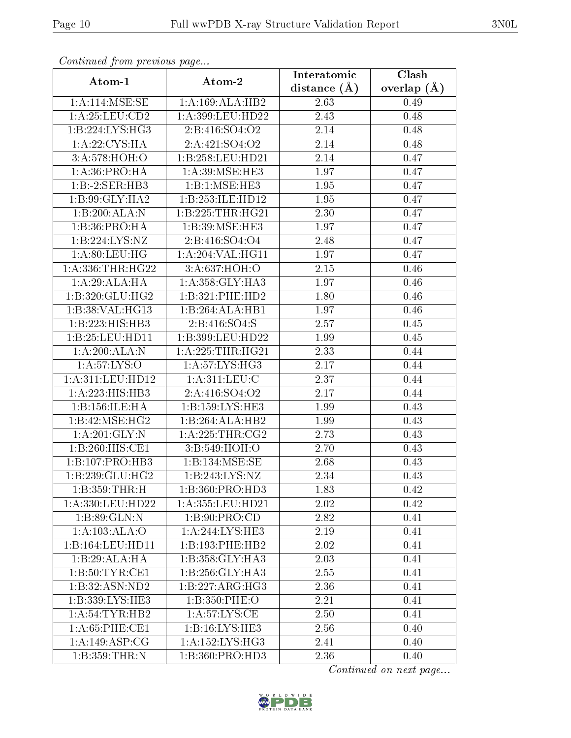| Atom-1                     | Atom-2                        | Interatomic       | Clash             |  |
|----------------------------|-------------------------------|-------------------|-------------------|--|
|                            |                               | distance $(A)$    | overlap $(A)$     |  |
| 1: A:114: MSE:SE           | 1:A:169:ALA:HB2               | 2.63              | 0.49              |  |
| 1: A:25:LEU:CD2            | 1:A:399:LEU:HD22              | $\overline{2.43}$ | 0.48              |  |
| 1:B:224:LYS:HG3            | 2:B:416:SO4:O2                | 2.14              | 0.48              |  |
| 1: A:22: CYS: HA           | 2:A:421:SO4:O2                | 2.14              | 0.48              |  |
| 3: A:578:HOH:O             | 1:B:258:LEU:HD21              | 2.14              | 0.47              |  |
| 1:A:36:PRO:HA              | 1:A:39:MSE:HE3                | 1.97              | 0.47              |  |
| 1:B:2:SER:HB3              | 1:B:1:MSE:HE3                 | 1.95              | 0.47              |  |
| 1:B:99:GLY:HA2             | 1:B:253:ILE:HD12              | 1.95              | 0.47              |  |
| 1:B:200:ALA:N              | 1:B:225:THR:HG21              | 2.30              | 0.47              |  |
| 1:B:36:PRO:HA              | 1:B:39:MSE:HE3                | 1.97              | 0.47              |  |
| 1:B:224:LYS:NZ             | 2:B:416:SO4:O4                | 2.48              | 0.47              |  |
| 1: A:80: LEU: HG           | 1:A:204:VAL:HG11              | 1.97              | 0.47              |  |
| 1: A: 336: THR: HG22       | 3: A:637:HOH:O                | 2.15              | 0.46              |  |
| 1:A:29:ALA:HA              | 1: A:358: GLY:HA3             | 1.97              | 0.46              |  |
| 1:B:320:GLU:HG2            | 1:B:321:PHE:HD2               | 1.80              | 0.46              |  |
| 1:B:38:VAL:HG13            | 1:B:264:ALA:HB1               | 1.97              | 0.46              |  |
| 1:B:223:HIS:HB3            | 2:B:416:SO4:S                 | 2.57              | 0.45              |  |
| 1:B:25:LEU:HDI1            | 1:B:399:LEU:HD22              | 1.99              | 0.45              |  |
| 1:A:200:ALA:N              | 1: A: 225: THR: HG21          | 2.33              | 0.44              |  |
| 1: A:57: LYS:O             | 1:A:57:LYS:HG3                | 2.17              | 0.44              |  |
| 1:A:311:LEU:HD12           | $1:A:3\overline{11:LEU:C}$    | $\overline{2.37}$ | 0.44              |  |
| 1:A:223:HIS:HB3            | 2:A:416:SO4:O2                | 2.17              | 0.44              |  |
| 1:B:156:ILE:HA             | 1:B:159:LYS:HE3               | 1.99              | 0.43              |  |
| 1:B:42:MSE:HG2             | 1:B:264:ALA:HB2               | 1.99              | 0.43              |  |
| 1:A:201:GLY:N              | 1: A:225:THR:CG2              | 2.73              | 0.43              |  |
| 1:B:260:HIS:CE1            | 3:B:549:HOH:O                 | 2.70              | 0.43              |  |
| 1:B:107:PRO:HB3            | 1:B:134:MSE:SE                | 2.68              | 0.43              |  |
| 1:B:239:GLU:HG2            | 1:B:243:LYS:NZ                | 2.34              | 0.43              |  |
| 1:B:359:THR:H              | 1:B:360:PRO:HD3               | 1.83              | $\overline{0.42}$ |  |
| 1:A:330:LEU:HD22           | $1:A:355:LEU:H\overline{D21}$ | 2.02              | 0.42              |  |
| 1:B:89:GLN:N               | 1:B:90:PRO:CD                 | $2.\overline{82}$ | 0.41              |  |
| 1:A:103:ALA:O              | 1:A:244:LYS:HE3               | 2.19              | 0.41              |  |
| 1:B:164:LEU:HD11           | 1:B:193:PHE:HB2               | 2.02              | 0.41              |  |
| $1:B:29:ALA:\overline{HA}$ | 1:B:358:GLY:HA3               | 2.03              | 0.41              |  |
| 1:B:50:TYR:CE1             | 1: B:256: GLY:HA3             | 2.55              | 0.41              |  |
| 1:B:32:ASN:ND2             | 1:B:227:ARG:HG3               | 2.36              | 0.41              |  |
| 1:B:339:LYS:HE3            | 1:B:350:PHE:O                 | 2.21              | 0.41              |  |
| 1: A:54:TYR:HB2            | 1: A:57: LYS: CE              | 2.50              | 0.41              |  |
| 1: A:65:PHE:CE1            | 1: B: 16: LYS: HE3            | 2.56              | 0.40              |  |
| 1: A:149: ASP:CG           | 1:A:152:LYS:HG3               | 2.41              | 0.40              |  |
| 1:B:359:THR:N              | 1:B:360:PRO:HD3               | 2.36              | 0.40              |  |

Continued from previous page...

Continued on next page...

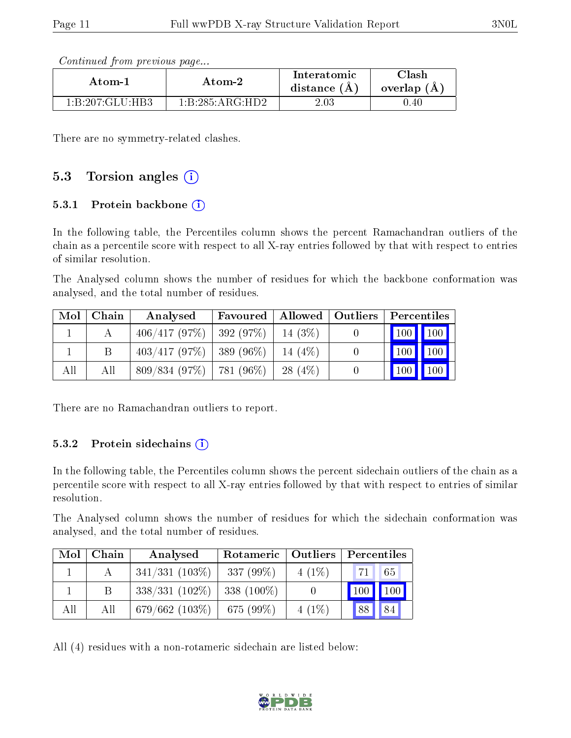Continued from previous page...

| Atom-2                                     |                 | Interatomic    | Clash         |
|--------------------------------------------|-----------------|----------------|---------------|
| Atom-1                                     |                 | distance $(A)$ | overlap $(A)$ |
| $1 \cdot B \cdot 207 \cdot GLLI \cdot HR3$ | 1:B:285:ARG:HD2 | 2.03           | 0.40          |

There are no symmetry-related clashes.

### 5.3 Torsion angles (i)

#### 5.3.1 Protein backbone  $(i)$

In the following table, the Percentiles column shows the percent Ramachandran outliers of the chain as a percentile score with respect to all X-ray entries followed by that with respect to entries of similar resolution.

The Analysed column shows the number of residues for which the backbone conformation was analysed, and the total number of residues.

| $\text{Mol}$ | Chain | Analysed                              | Favoured   Allowed   Outliers   Percentiles |            |                                 |  |
|--------------|-------|---------------------------------------|---------------------------------------------|------------|---------------------------------|--|
|              |       | $406/417$ (97%)   392 (97%)   14 (3%) |                                             |            | $\mid$ 100 $\mid$ 100           |  |
|              |       | $403/417$ (97%)   389 (96%)   14 (4%) |                                             |            | $\vert$ 100 $\vert$ 100 $\vert$ |  |
| All          | All   | $809/834$ (97\%)   781 (96\%)         |                                             | 28 $(4\%)$ | $100$   100                     |  |

There are no Ramachandran outliers to report.

#### 5.3.2 Protein sidechains  $(i)$

In the following table, the Percentiles column shows the percent sidechain outliers of the chain as a percentile score with respect to all X-ray entries followed by that with respect to entries of similar resolution.

The Analysed column shows the number of residues for which the sidechain conformation was analysed, and the total number of residues.

| Mol | Chain | Analysed          | Rotameric   Outliers |          | Percentiles   |             |
|-----|-------|-------------------|----------------------|----------|---------------|-------------|
|     |       | $341/331(103\%)$  | $337(99\%)$          | $4(1\%)$ | 71            | $\sqrt{65}$ |
|     |       | $338/331(102\%)$  | $338(100\%)$         |          | $100$   $100$ |             |
| All | All   | 679/662 $(103\%)$ | 675(99%)             | $4(1\%)$ | 88            | 84          |

All (4) residues with a non-rotameric sidechain are listed below:

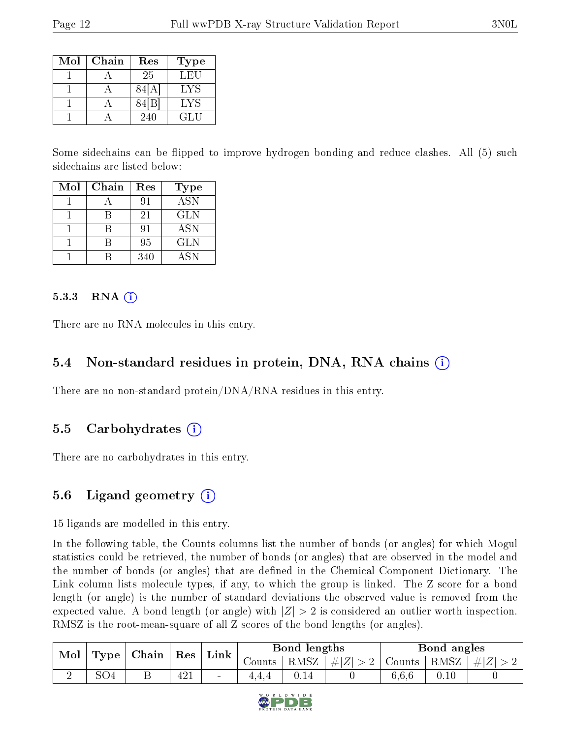| Mol | Chain | Res               | <b>Type</b> |
|-----|-------|-------------------|-------------|
|     |       | 25                | LEU         |
|     |       | 84  A             | LYS         |
|     |       | 84 <sup>[B]</sup> | LYS         |
|     |       | 240               | GLU         |

Some sidechains can be flipped to improve hydrogen bonding and reduce clashes. All (5) such sidechains are listed below:

| Mol | Chain | Res | <b>Type</b> |
|-----|-------|-----|-------------|
|     |       | 91  | <b>ASN</b>  |
|     |       | 21  | <b>GLN</b>  |
|     |       | 91  | <b>ASN</b>  |
|     |       | 95  | <b>GLN</b>  |
|     |       | 340 | ASN         |

#### $5.3.3$  RNA  $(i)$

There are no RNA molecules in this entry.

#### 5.4 Non-standard residues in protein, DNA, RNA chains (i)

There are no non-standard protein/DNA/RNA residues in this entry.

#### 5.5 Carbohydrates  $(i)$

There are no carbohydrates in this entry.

#### 5.6 Ligand geometry  $(i)$

15 ligands are modelled in this entry.

In the following table, the Counts columns list the number of bonds (or angles) for which Mogul statistics could be retrieved, the number of bonds (or angles) that are observed in the model and the number of bonds (or angles) that are defined in the Chemical Component Dictionary. The Link column lists molecule types, if any, to which the group is linked. The Z score for a bond length (or angle) is the number of standard deviations the observed value is removed from the expected value. A bond length (or angle) with  $|Z| > 2$  is considered an outlier worth inspection. RMSZ is the root-mean-square of all Z scores of the bond lengths (or angles).

| Mol |     |   | $\perp$ Type $\parallel$ Chain $\parallel$ Res $\parallel$ |                |        | $\mathbf{Link}^+$ |                                                    | Bond lengths |          |  | Bond angles |  |  |
|-----|-----|---|------------------------------------------------------------|----------------|--------|-------------------|----------------------------------------------------|--------------|----------|--|-------------|--|--|
|     |     |   |                                                            |                | Counts | RMSZ <sup>1</sup> | $\left  \#Z \right  > 2$   Counts   RMSZ   $\# Z $ |              |          |  |             |  |  |
|     | SO4 | ப | 421                                                        | $\blacksquare$ |        |                   |                                                    | 6,6,6        | $0.10\,$ |  |             |  |  |

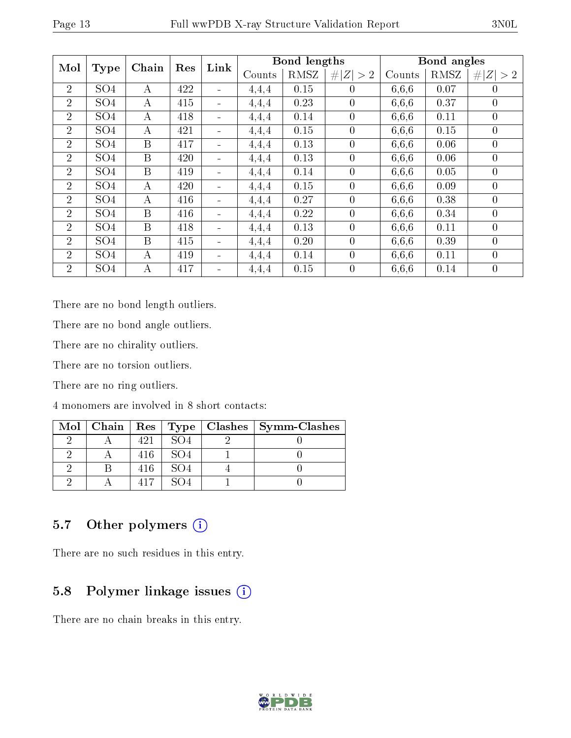| Mol            | <b>Type</b>     | Chain    | Res | Link                         |        | Bond lengths |                |        | Bond angles |                |
|----------------|-----------------|----------|-----|------------------------------|--------|--------------|----------------|--------|-------------|----------------|
|                |                 |          |     |                              | Counts | RMSZ         | # $ Z  > 2$    | Counts | RMSZ        | # $ Z  > 2$    |
| $\overline{2}$ | SO <sub>4</sub> | А        | 422 | $\blacksquare$               | 4,4,4  | 0.15         | $\theta$       | 6,6,6  | 0.07        | $\overline{0}$ |
| $\overline{2}$ | SO <sub>4</sub> | $\bf{A}$ | 415 | $\qquad \qquad \blacksquare$ | 4,4,4  | 0.23         | $\theta$       | 6,6,6  | 0.37        | $\theta$       |
| $\overline{2}$ | SO <sub>4</sub> | A        | 418 | $\overline{\phantom{0}}$     | 4,4,4  | 0.14         | $\overline{0}$ | 6,6,6  | 0.11        | $\overline{0}$ |
| $\overline{2}$ | SO <sub>4</sub> | А        | 421 |                              | 4,4,4  | 0.15         | $\theta$       | 6,6,6  | 0.15        | $\overline{0}$ |
| $\overline{2}$ | SO <sub>4</sub> | B        | 417 | $\overline{\phantom{0}}$     | 4,4,4  | 0.13         | $\overline{0}$ | 6.6.6  | 0.06        | $\overline{0}$ |
| $\overline{2}$ | SO <sub>4</sub> | B        | 420 | $\overline{\phantom{0}}$     | 4,4,4  | 0.13         | $\overline{0}$ | 6,6,6  | 0.06        | $\overline{0}$ |
| $\overline{2}$ | SO <sub>4</sub> | B        | 419 | $\qquad \qquad \blacksquare$ | 4,4,4  | 0.14         | $\theta$       | 6,6,6  | 0.05        | $\overline{0}$ |
| $\overline{2}$ | SO <sub>4</sub> | $\bf{A}$ | 420 | $\blacksquare$               | 4,4,4  | 0.15         | $\overline{0}$ | 6.6.6  | 0.09        | $\theta$       |
| $\overline{2}$ | SO <sub>4</sub> | A        | 416 | $\blacksquare$               | 4,4,4  | 0.27         | $\theta$       | 6,6,6  | 0.38        | $\overline{0}$ |
| $\overline{2}$ | SO <sub>4</sub> | B        | 416 | $\blacksquare$               | 4,4,4  | 0.22         | $\overline{0}$ | 6,6,6  | 0.34        | $\overline{0}$ |
| $\overline{2}$ | SO <sub>4</sub> | B        | 418 |                              | 4,4,4  | 0.13         | $\overline{0}$ | 6.6.6  | 0.11        | $\theta$       |
| $\overline{2}$ | SO <sub>4</sub> | B        | 415 | $\blacksquare$               | 4,4,4  | 0.20         | $\overline{0}$ | 6,6,6  | 0.39        | $\theta$       |
| $\overline{2}$ | SO <sub>4</sub> | А        | 419 | $\blacksquare$               | 4,4,4  | 0.14         | $\overline{0}$ | 6,6,6  | 0.11        | $\overline{0}$ |
| $\overline{2}$ | SO <sub>4</sub> | А        | 417 |                              | 4,4,4  | 0.15         | $\overline{0}$ | 6,6,6  | 0.14        | $\overline{0}$ |

There are no bond length outliers.

There are no bond angle outliers.

There are no chirality outliers.

There are no torsion outliers.

There are no ring outliers.

4 monomers are involved in 8 short contacts:

|  |     |                 | Mol   Chain   Res   Type   Clashes   Symm-Clashes |
|--|-----|-----------------|---------------------------------------------------|
|  | 491 | SO <sub>4</sub> |                                                   |
|  | 416 | SO4             |                                                   |
|  | 416 | SO <sub>4</sub> |                                                   |
|  |     |                 |                                                   |

### 5.7 [O](https://www.wwpdb.org/validation/2017/XrayValidationReportHelp#nonstandard_residues_and_ligands)ther polymers (i)

There are no such residues in this entry.

### 5.8 Polymer linkage issues (i)

There are no chain breaks in this entry.

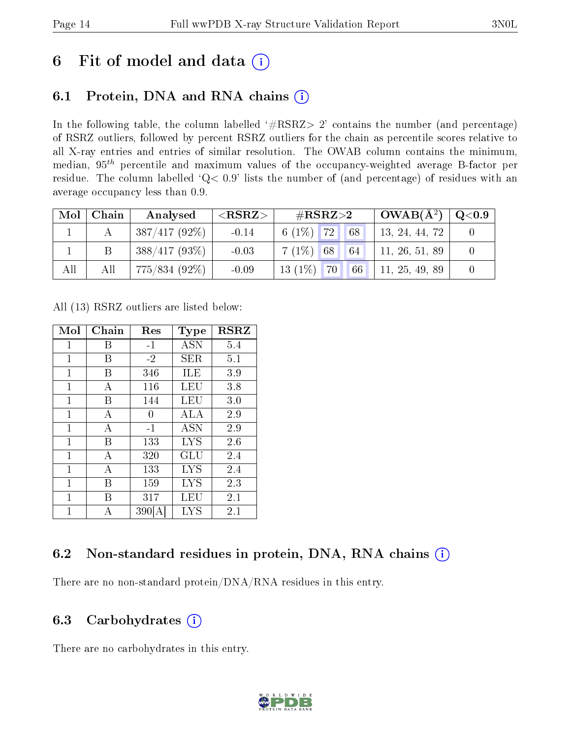## 6 Fit of model and data  $(i)$

## 6.1 Protein, DNA and RNA chains  $(i)$

In the following table, the column labelled  $#RSRZ> 2'$  contains the number (and percentage) of RSRZ outliers, followed by percent RSRZ outliers for the chain as percentile scores relative to all X-ray entries and entries of similar resolution. The OWAB column contains the minimum, median,  $95<sup>th</sup>$  percentile and maximum values of the occupancy-weighted average B-factor per residue. The column labelled ' $Q< 0.9$ ' lists the number of (and percentage) of residues with an average occupancy less than 0.9.

| Mol | Chain | Analysed        | $<$ RSRZ $>$ | $\rm \#RSRZ{>}2$   | $\mid$ OWAB( $\rm \AA^2) \mid$ | $\rm Q\textcolor{black}{<}0.9$ |
|-----|-------|-----------------|--------------|--------------------|--------------------------------|--------------------------------|
|     |       | $387/417(92\%)$ | $-0.14$      | 6 $(1\%)$ 72<br>68 | 13, 24, 44, 72                 |                                |
|     |       | $388/417(93\%)$ | $-0.03$      | $7(1\%)$ 68<br>64  | 11, 26, 51, 89                 |                                |
| All | All   | 775/834 (92%)   | $-0.09$      | $13(1\%)$ 70<br>66 | 11, 25, 49, 89                 |                                |

All (13) RSRZ outliers are listed below:

| Mol          | Chain | Res   | Type       | $_{\rm RSRZ}$ |
|--------------|-------|-------|------------|---------------|
| 1            | В     | $-1$  | ASN        | 5.4           |
| 1            | В     | $-2$  | SER.       | 5.1           |
| $\mathbf{1}$ | В     | 346   | ILE        | 3.9           |
| $\mathbf 1$  | А     | 116   | LEU        | 3.8           |
| 1            | В     | 144   | LEU        | 3.0           |
| $\mathbf{1}$ | А     | 0     | ALA        | 2.9           |
| $\mathbf 1$  | А     | $-1$  | <b>ASN</b> | 2.9           |
| 1            | В     | 133   | <b>LYS</b> | 2.6           |
| $\mathbf{1}$ | А     | 320   | GLU        | 2.4           |
| 1            | А     | 133   | <b>LYS</b> | 2.4           |
| 1            | В     | 159   | <b>LYS</b> | 2.3           |
| $\mathbf{1}$ | В     | 317   | LEU        | 2.1           |
| 1            | А     | 390 A | LYS        | 2.1           |

## 6.2 Non-standard residues in protein, DNA, RNA chains (i)

There are no non-standard protein/DNA/RNA residues in this entry.

### 6.3 Carbohydrates (i)

There are no carbohydrates in this entry.